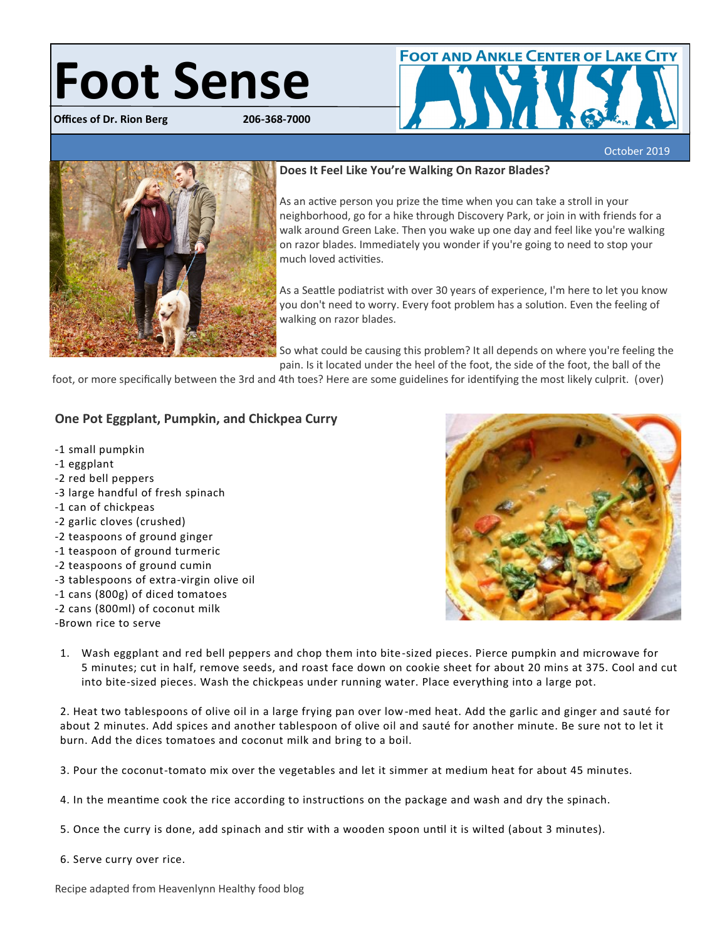# **Foot Sense**

**Offices of Dr. Rion Berg 206-368-7000**



医前庭

# **Does It Feel Like You're Walking On Razor Blades?**

As an active person you prize the time when you can take a stroll in your neighborhood, go for a hike through Discovery Park, or join in with friends for a walk around Green Lake. Then you wake up one day and feel like you're walking on razor blades. Immediately you wonder if you're going to need to stop your much loved activities.

As a Seattle podiatrist with over 30 years of experience, I'm here to let you know you don't need to worry. Every foot problem has a solution. Even the feeling of walking on razor blades.

So what could be causing this problem? It all depends on where you're feeling the pain. Is it located under the heel of the foot, the side of the foot, the ball of the

foot, or more specifically between the 3rd and 4th toes? Here are some guidelines for identifying the most likely culprit. (over)

October 2019

# **One Pot Eggplant, Pumpkin, and Chickpea Curry**

- -1 small pumpkin
- -1 eggplant
- -2 red bell peppers
- -3 large handful of fresh spinach
- -1 can of chickpeas
- -2 garlic cloves (crushed)
- -2 teaspoons of ground ginger
- -1 teaspoon of ground turmeric
- -2 teaspoons of ground cumin
- -3 tablespoons of extra-virgin olive oil
- -1 cans (800g) of diced tomatoes
- -2 cans (800ml) of coconut milk
- -Brown rice to serve



1. Wash eggplant and red bell peppers and chop them into bite-sized pieces. Pierce pumpkin and microwave for 5 minutes; cut in half, remove seeds, and roast face down on cookie sheet for about 20 mins at 375. Cool and cut into bite-sized pieces. Wash the chickpeas under running water. Place everything into a large pot.

2. Heat two tablespoons of olive oil in a large frying pan over low-med heat. Add the garlic and ginger and sauté for about 2 minutes. Add spices and another tablespoon of olive oil and sauté for another minute. Be sure not to let it burn. Add the dices tomatoes and coconut milk and bring to a boil.

3. Pour the coconut-tomato mix over the vegetables and let it simmer at medium heat for about 45 minutes.

- 4. In the meantime cook the rice according to instructions on the package and wash and dry the spinach.
- 5. Once the curry is done, add spinach and stir with a wooden spoon until it is wilted (about 3 minutes).
- 6. Serve curry over rice.